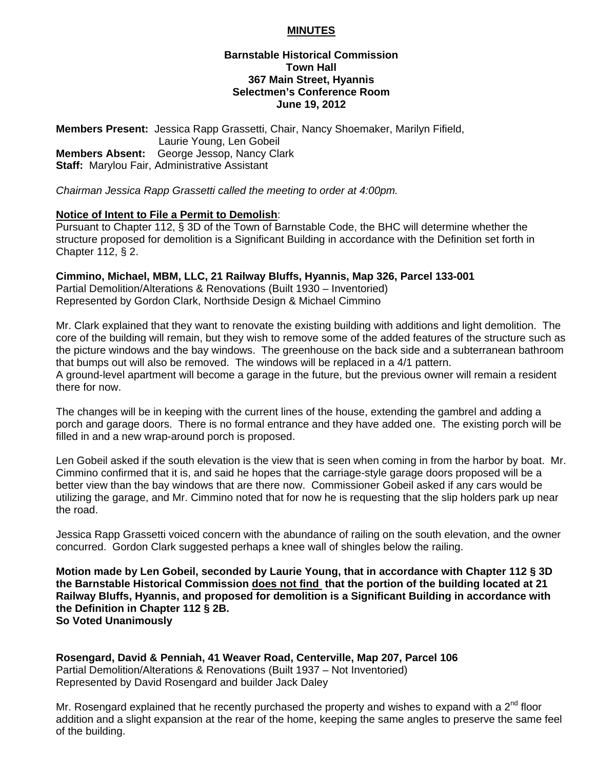### **MINUTES**

#### **Barnstable Historical Commission Town Hall 367 Main Street, Hyannis Selectmen's Conference Room June 19, 2012**

**Members Present:** Jessica Rapp Grassetti, Chair, Nancy Shoemaker, Marilyn Fifield, Laurie Young, Len Gobeil **Members Absent:** George Jessop, Nancy Clark **Staff:** Marylou Fair, Administrative Assistant

*Chairman Jessica Rapp Grassetti called the meeting to order at 4:00pm.* 

## **Notice of Intent to File a Permit to Demolish**:

Pursuant to Chapter 112, § 3D of the Town of Barnstable Code, the BHC will determine whether the structure proposed for demolition is a Significant Building in accordance with the Definition set forth in Chapter 112, § 2.

#### **Cimmino, Michael, MBM, LLC, 21 Railway Bluffs, Hyannis, Map 326, Parcel 133-001**

Partial Demolition/Alterations & Renovations (Built 1930 – Inventoried) Represented by Gordon Clark, Northside Design & Michael Cimmino

Mr. Clark explained that they want to renovate the existing building with additions and light demolition. The core of the building will remain, but they wish to remove some of the added features of the structure such as the picture windows and the bay windows. The greenhouse on the back side and a subterranean bathroom that bumps out will also be removed. The windows will be replaced in a 4/1 pattern. A ground-level apartment will become a garage in the future, but the previous owner will remain a resident

there for now.

The changes will be in keeping with the current lines of the house, extending the gambrel and adding a porch and garage doors. There is no formal entrance and they have added one. The existing porch will be filled in and a new wrap-around porch is proposed.

Len Gobeil asked if the south elevation is the view that is seen when coming in from the harbor by boat. Mr. Cimmino confirmed that it is, and said he hopes that the carriage-style garage doors proposed will be a better view than the bay windows that are there now. Commissioner Gobeil asked if any cars would be utilizing the garage, and Mr. Cimmino noted that for now he is requesting that the slip holders park up near the road.

Jessica Rapp Grassetti voiced concern with the abundance of railing on the south elevation, and the owner concurred. Gordon Clark suggested perhaps a knee wall of shingles below the railing.

**Motion made by Len Gobeil, seconded by Laurie Young, that in accordance with Chapter 112 § 3D the Barnstable Historical Commission does not find that the portion of the building located at 21 Railway Bluffs, Hyannis, and proposed for demolition is a Significant Building in accordance with the Definition in Chapter 112 § 2B. So Voted Unanimously** 

**Rosengard, David & Penniah, 41 Weaver Road, Centerville, Map 207, Parcel 106**  Partial Demolition/Alterations & Renovations (Built 1937 – Not Inventoried) Represented by David Rosengard and builder Jack Daley

Mr. Rosengard explained that he recently purchased the property and wishes to expand with a  $2^{nd}$  floor addition and a slight expansion at the rear of the home, keeping the same angles to preserve the same feel of the building.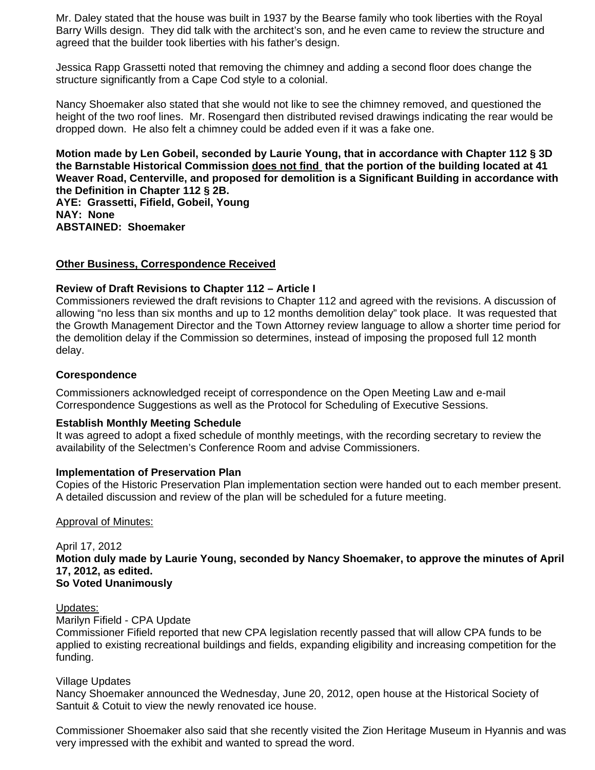Mr. Daley stated that the house was built in 1937 by the Bearse family who took liberties with the Royal Barry Wills design. They did talk with the architect's son, and he even came to review the structure and agreed that the builder took liberties with his father's design.

Jessica Rapp Grassetti noted that removing the chimney and adding a second floor does change the structure significantly from a Cape Cod style to a colonial.

Nancy Shoemaker also stated that she would not like to see the chimney removed, and questioned the height of the two roof lines. Mr. Rosengard then distributed revised drawings indicating the rear would be dropped down. He also felt a chimney could be added even if it was a fake one.

**Motion made by Len Gobeil, seconded by Laurie Young, that in accordance with Chapter 112 § 3D the Barnstable Historical Commission does not find that the portion of the building located at 41 Weaver Road, Centerville, and proposed for demolition is a Significant Building in accordance with the Definition in Chapter 112 § 2B.** 

**AYE: Grassetti, Fifield, Gobeil, Young NAY: None ABSTAINED: Shoemaker** 

## **Other Business, Correspondence Received**

# **Review of Draft Revisions to Chapter 112 – Article I**

Commissioners reviewed the draft revisions to Chapter 112 and agreed with the revisions. A discussion of allowing "no less than six months and up to 12 months demolition delay" took place. It was requested that the Growth Management Director and the Town Attorney review language to allow a shorter time period for the demolition delay if the Commission so determines, instead of imposing the proposed full 12 month delay.

# **Corespondence**

Commissioners acknowledged receipt of correspondence on the Open Meeting Law and e-mail Correspondence Suggestions as well as the Protocol for Scheduling of Executive Sessions.

## **Establish Monthly Meeting Schedule**

It was agreed to adopt a fixed schedule of monthly meetings, with the recording secretary to review the availability of the Selectmen's Conference Room and advise Commissioners.

## **Implementation of Preservation Plan**

Copies of the Historic Preservation Plan implementation section were handed out to each member present. A detailed discussion and review of the plan will be scheduled for a future meeting.

## Approval of Minutes:

April 17, 2012 **Motion duly made by Laurie Young, seconded by Nancy Shoemaker, to approve the minutes of April 17, 2012, as edited. So Voted Unanimously** 

Updates:

Marilyn Fifield - CPA Update

Commissioner Fifield reported that new CPA legislation recently passed that will allow CPA funds to be applied to existing recreational buildings and fields, expanding eligibility and increasing competition for the funding.

## Village Updates

Nancy Shoemaker announced the Wednesday, June 20, 2012, open house at the Historical Society of Santuit & Cotuit to view the newly renovated ice house.

Commissioner Shoemaker also said that she recently visited the Zion Heritage Museum in Hyannis and was very impressed with the exhibit and wanted to spread the word.